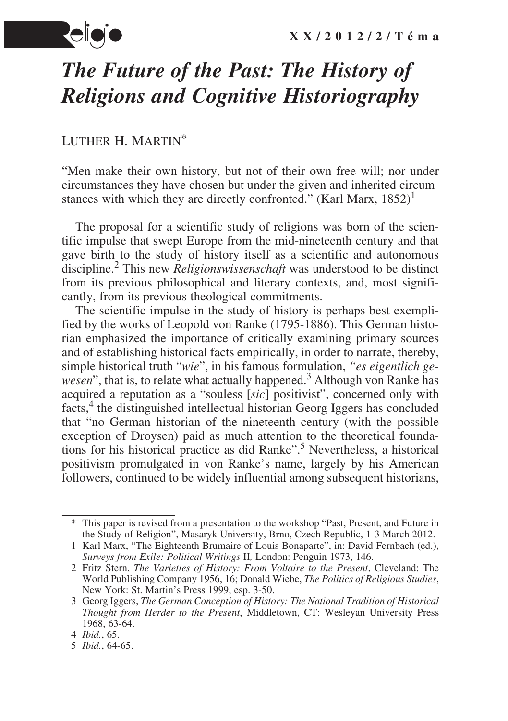

# *The Future of the Past: The History of Religions and Cognitive Historiography*

## Luther H. Martin\*

"Men make their own history, but not of their own free will; nor under circumstances they have chosen but under the given and inherited circumstances with which they are directly confronted." (Karl Marx,  $1852$ )<sup>1</sup>

The proposal for a scientific study of religions was born of the scientific impulse that swept Europe from the mid-nineteenth century and that gave birth to the study of history itself as a scientific and autonomous discipline.<sup>2</sup> This new *Religionswissenschaft* was understood to be distinct from its previous philosophical and literary contexts, and, most significantly, from its previous theological commitments.

The scientific impulse in the study of history is perhaps best exemplified by the works of Leopold von Ranke (1795-1886). This German historian emphasized the importance of critically examining primary sources and of establishing historical facts empirically, in order to narrate, thereby, simple historical truth "*wie*", in his famous formulation, *"es eigentlich ge*wesen", that is, to relate what actually happened.<sup>3</sup> Although von Ranke has acquired a reputation as a "souless [*sic*] positivist", concerned only with facts,<sup>4</sup> the distinguished intellectual historian Georg Iggers has concluded that "no German historian of the nineteenth century (with the possible exception of Droysen) paid as much attention to the theoretical foundations for his historical practice as did Ranke".<sup>5</sup> Nevertheless, a historical positivism promulgated in von Ranke's name, largely by his American followers, continued to be widely influential among subsequent historians,

<sup>\*</sup> This paper is revised from a presentation to the workshop "Past, Present, and Future in the Study of Religion", Masaryk University, Brno, Czech Republic, 1-3 March 2012.

<sup>1</sup> Karl Marx, "The Eighteenth Brumaire of Louis Bonaparte", in: David Fernbach (ed.), *Surveys from Exile: Political Writings* II*,* London: Penguin 1973, 146.

<sup>2</sup> Fritz Stern, *The Varieties of History: From Voltaire to the Present*, Cleveland: The World Publishing Company 1956, 16; Donald Wiebe, *The Politics of Religious Studies*, New York: St. Martin's Press 1999, esp. 3-50.

<sup>3</sup> Georg Iggers, *The German Conception of History: The National Tradition of Historical Thought from Herder to the Present*, Middletown, CT: Wesleyan University Press 1968, 63-64.

<sup>4</sup> *Ibid.*, 65.

<sup>5</sup> *Ibid.*, 64-65.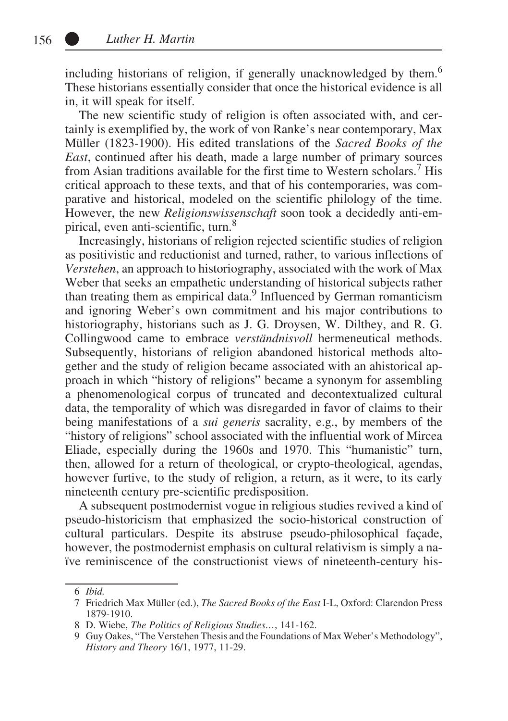including historians of religion, if generally unacknowledged by them.<sup>6</sup> These historians essentially consider that once the historical evidence is all in, it will speak for itself.

The new scientific study of religion is often associated with, and certainly is exemplified by, the work of von Ranke's near contemporary, Max Müller (1823-1900). His edited translations of the *Sacred Books of the East*, continued after his death, made a large number of primary sources from Asian traditions available for the first time to Western scholars.<sup>7</sup> His critical approach to these texts, and that of his contemporaries, was comparative and historical, modeled on the scientific philology of the time. However, the new *Religionswissenschaft* soon took a decidedly anti-empirical, even anti-scientific, turn.<sup>8</sup>

Increasingly, historians of religion rejected scientific studies of religion as positivistic and reductionist and turned, rather, to various inflections of *Verstehen*, an approach to historiography, associated with the work of Max Weber that seeks an empathetic understanding of historical subjects rather than treating them as empirical data.<sup>9</sup> Influenced by German romanticism and ignoring Weber's own commitment and his major contributions to historiography, historians such as J. G. Droysen, W. Dilthey, and R. G. Collingwood came to embrace *verständnisvoll* hermeneutical methods. Subsequently, historians of religion abandoned historical methods altogether and the study of religion became associated with an ahistorical approach in which "history of religions" became a synonym for assembling a phenomenological corpus of truncated and decontextualized cultural data, the temporality of which was disregarded in favor of claims to their being manifestations of a *sui generis* sacrality, e.g., by members of the "history of religions" school associated with the influential work of Mircea Eliade, especially during the 1960s and 1970. This "humanistic" turn, then, allowed for a return of theological, or crypto-theological, agendas, however furtive, to the study of religion, a return, as it were, to its early nineteenth century pre-scientific predisposition.

A subsequent postmodernist vogue in religious studies revived a kind of pseudo-historicism that emphasized the socio-historical construction of cultural particulars. Despite its abstruse pseudo-philosophical façade, however, the postmodernist emphasis on cultural relativism is simply a naïve reminiscence of the constructionist views of nineteenth-century his-

<sup>6</sup> *Ibid.*

<sup>7</sup> Friedrich Max Müller (ed.), *The Sacred Books of the East* I-L, Oxford: Clarendon Press 1879-1910.

<sup>8</sup> D. Wiebe, *The Politics of Religious Studies…*, 141-162.

<sup>9</sup> Guy Oakes, "The Verstehen Thesis and the Foundations of Max Weber's Methodology", *History and Theory* 16/1, 1977, 11-29.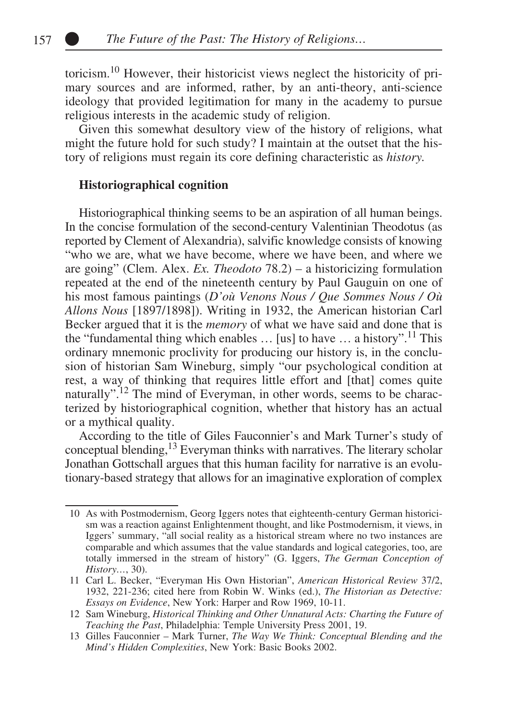toricism.10 However, their historicist views neglect the historicity of primary sources and are informed, rather, by an anti-theory, anti-science ideology that provided legitimation for many in the academy to pursue religious interests in the academic study of religion.

Given this somewhat desultory view of the history of religions, what might the future hold for such study? I maintain at the outset that the history of religions must regain its core defining characteristic as *history.*

## **Historiographical cognition**

Historiographical thinking seems to be an aspiration of all human beings. In the concise formulation of the second-century Valentinian Theodotus (as reported by Clement of Alexandria), salvific knowledge consists of knowing "who we are, what we have become, where we have been, and where we are going" (Clem. Alex. *Ex. Theodoto* 78.2) – a historicizing formulation repeated at the end of the nineteenth century by Paul Gauguin on one of his most famous paintings (*D'où Venons Nous / Que Sommes Nous / Où Allons Nous* [1897/1898]). Writing in 1932, the American historian Carl Becker argued that it is the *memory* of what we have said and done that is the "fundamental thing which enables  $\dots$  [us] to have  $\dots$  a history".<sup>11</sup> This ordinary mnemonic proclivity for producing our history is, in the conclusion of historian Sam Wineburg, simply "our psychological condition at rest, a way of thinking that requires little effort and [that] comes quite naturally".12 The mind of Everyman, in other words, seems to be characterized by historiographical cognition, whether that history has an actual or a mythical quality.

According to the title of Giles Fauconnier's and Mark Turner's study of conceptual blending,<sup>13</sup> Everyman thinks with narratives. The literary scholar Jonathan Gottschall argues that this human facility for narrative is an evolutionary-based strategy that allows for an imaginative exploration of complex

<sup>10</sup> As with Postmodernism, Georg Iggers notes that eighteenth-century German historicism was a reaction against Enlightenment thought, and like Postmodernism, it views, in Iggers' summary, "all social reality as a historical stream where no two instances are comparable and which assumes that the value standards and logical categories, too, are totally immersed in the stream of history" (G. Iggers, *The German Conception of History…*, 30).

<sup>11</sup> Carl L. Becker, "Everyman His Own Historian", *American Historical Review* 37/2, 1932, 221-236; cited here from Robin W. Winks (ed.), *The Historian as Detective: Essays on Evidence*, New York: Harper and Row 1969, 10-11.

<sup>12</sup> Sam Wineburg, *Historical Thinking and Other Unnatural Acts: Charting the Future of Teaching the Past*, Philadelphia: Temple University Press 2001, 19.

<sup>13</sup> Gilles Fauconnier – Mark Turner, *The Way We Think: Conceptual Blending and the Mind's Hidden Complexities*, New York: Basic Books 2002.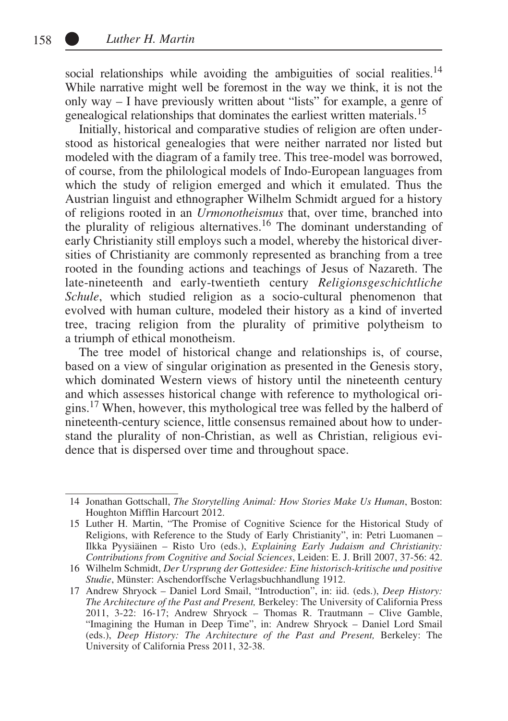social relationships while avoiding the ambiguities of social realities.<sup>14</sup> While narrative might well be foremost in the way we think, it is not the only way – I have previously written about "lists" for example, a genre of genealogical relationships that dominates the earliest written materials.15

Initially, historical and comparative studies of religion are often understood as historical genealogies that were neither narrated nor listed but modeled with the diagram of a family tree. This tree-model was borrowed, of course, from the philological models of Indo-European languages from which the study of religion emerged and which it emulated. Thus the Austrian linguist and ethnographer Wilhelm Schmidt argued for a history of religions rooted in an *Urmonotheismus* that, over time, branched into the plurality of religious alternatives.<sup>16</sup> The dominant understanding of early Christianity still employs such a model, whereby the historical diversities of Christianity are commonly represented as branching from a tree rooted in the founding actions and teachings of Jesus of Nazareth. The late-nineteenth and early-twentieth century *Religionsgeschichtliche Schule*, which studied religion as a socio-cultural phenomenon that evolved with human culture, modeled their history as a kind of inverted tree, tracing religion from the plurality of primitive polytheism to a triumph of ethical monotheism.

The tree model of historical change and relationships is, of course, based on a view of singular origination as presented in the Genesis story, which dominated Western views of history until the nineteenth century and which assesses historical change with reference to mythological origins.17 When, however, this mythological tree was felled by the halberd of nineteenth-century science, little consensus remained about how to understand the plurality of non-Christian, as well as Christian, religious evidence that is dispersed over time and throughout space.

<sup>14</sup> Jonathan Gottschall, *The Storytelling Animal: How Stories Make Us Human*, Boston: Houghton Mifflin Harcourt 2012.

<sup>15</sup> Luther H. Martin, "The Promise of Cognitive Science for the Historical Study of Religions, with Reference to the Study of Early Christianity", in: Petri Luomanen – Ilkka Pyysiäinen – Risto Uro (eds.), *Explaining Early Judaism and Christianity: Contributions from Cognitive and Social Sciences*, Leiden: E. J. Brill 2007, 37-56: 42.

<sup>16</sup> Wilhelm Schmidt, *Der Ursprung der Gottesidee: Eine historisch-kritische und positive Studie*, Münster: Aschendorffsche Verlagsbuchhandlung 1912.

<sup>17</sup> Andrew Shryock – Daniel Lord Smail, "Introduction", in: iid. (eds.), *Deep History: The Architecture of the Past and Present,* Berkeley: The University of California Press 2011, 3-22: 16-17; Andrew Shryock – Thomas R. Trautmann – Clive Gamble, "Imagining the Human in Deep Time", in: Andrew Shryock – Daniel Lord Smail (eds.), *Deep History: The Architecture of the Past and Present,* Berkeley: The University of California Press 2011, 32-38.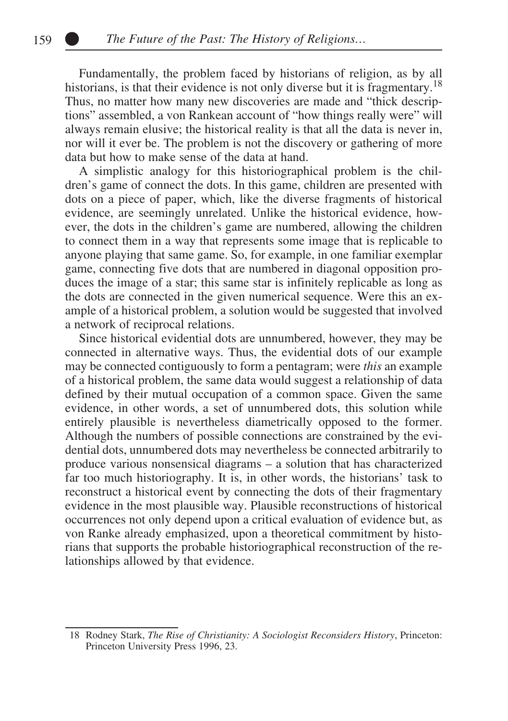Fundamentally, the problem faced by historians of religion, as by all historians, is that their evidence is not only diverse but it is fragmentary.<sup>18</sup> Thus, no matter how many new discoveries are made and "thick descriptions" assembled, a von Rankean account of "how things really were" will always remain elusive; the historical reality is that all the data is never in, nor will it ever be. The problem is not the discovery or gathering of more data but how to make sense of the data at hand.

A simplistic analogy for this historiographical problem is the children's game of connect the dots. In this game, children are presented with dots on a piece of paper, which, like the diverse fragments of historical evidence, are seemingly unrelated. Unlike the historical evidence, however, the dots in the children's game are numbered, allowing the children to connect them in a way that represents some image that is replicable to anyone playing that same game. So, for example, in one familiar exemplar game, connecting five dots that are numbered in diagonal opposition produces the image of a star; this same star is infinitely replicable as long as the dots are connected in the given numerical sequence. Were this an example of a historical problem, a solution would be suggested that involved a network of reciprocal relations.

Since historical evidential dots are unnumbered, however, they may be connected in alternative ways. Thus, the evidential dots of our example may be connected contiguously to form a pentagram; were *this* an example of a historical problem, the same data would suggest a relationship of data defined by their mutual occupation of a common space. Given the same evidence, in other words, a set of unnumbered dots, this solution while entirely plausible is nevertheless diametrically opposed to the former. Although the numbers of possible connections are constrained by the evidential dots, unnumbered dots may nevertheless be connected arbitrarily to produce various nonsensical diagrams – a solution that has characterized far too much historiography. It is, in other words, the historians' task to reconstruct a historical event by connecting the dots of their fragmentary evidence in the most plausible way. Plausible reconstructions of historical occurrences not only depend upon a critical evaluation of evidence but, as von Ranke already emphasized, upon a theoretical commitment by historians that supports the probable historiographical reconstruction of the relationships allowed by that evidence.

<sup>18</sup> Rodney Stark, *The Rise of Christianity: A Sociologist Reconsiders History*, Princeton: Princeton University Press 1996, 23.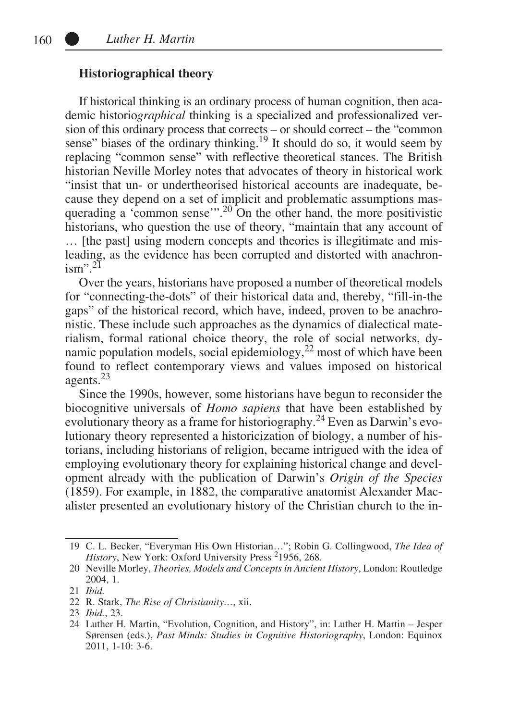## **Historiographical theory**

If historical thinking is an ordinary process of human cognition, then academic historio*graphical* thinking is a specialized and professionalized version of this ordinary process that corrects – or should correct – the "common sense" biases of the ordinary thinking.<sup>19</sup> It should do so, it would seem by replacing "common sense" with reflective theoretical stances. The British historian Neville Morley notes that advocates of theory in historical work "insist that un- or undertheorised historical accounts are inadequate, because they depend on a set of implicit and problematic assumptions masquerading a 'common sense'".<sup>20</sup> On the other hand, the more positivistic historians, who question the use of theory, "maintain that any account of … [the past] using modern concepts and theories is illegitimate and misleading, as the evidence has been corrupted and distorted with anachron $i$ sm"<sup>21</sup>

Over the years, historians have proposed a number of theoretical models for "connecting-the-dots" of their historical data and, thereby, "fill-in-the gaps" of the historical record, which have, indeed, proven to be anachronistic. These include such approaches as the dynamics of dialectical materialism, formal rational choice theory, the role of social networks, dynamic population models, social epidemiology,  $2^2$  most of which have been found to reflect contemporary views and values imposed on historical agents.<sup>23</sup>

Since the 1990s, however, some historians have begun to reconsider the biocognitive universals of *Homo sapiens* that have been established by evolutionary theory as a frame for historiography.24 Even as Darwin's evolutionary theory represented a historicization of biology, a number of historians, including historians of religion, became intrigued with the idea of employing evolutionary theory for explaining historical change and development already with the publication of Darwin's *Origin of the Species* (1859). For example, in 1882, the comparative anatomist Alexander Macalister presented an evolutionary history of the Christian church to the in-

<sup>19</sup> C. L. Becker, "Everyman His Own Historian…"; Robin G. Collingwood, *The Idea of*  History, New York: Oxford University Press <sup>2</sup>1956, 268.

<sup>20</sup> Neville Morley, *Theories, Models and Concepts in Ancient History*, London: Routledge 2004, 1.

<sup>21</sup> *Ibid.*

<sup>22</sup> R. Stark, *The Rise of Christianity…*, xii.

<sup>23</sup> *Ibid.*, 23.

<sup>24</sup> Luther H. Martin, "Evolution, Cognition, and History", in: Luther H. Martin – Jesper Sørensen (eds.), *Past Minds: Studies in Cognitive Historiography*, London: Equinox 2011, 1-10: 3-6.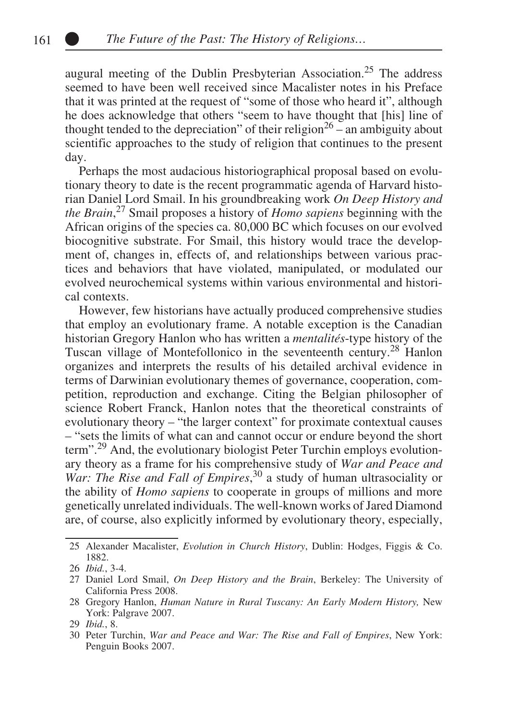augural meeting of the Dublin Presbyterian Association.25 The address seemed to have been well received since Macalister notes in his Preface that it was printed at the request of "some of those who heard it", although he does acknowledge that others "seem to have thought that [his] line of thought tended to the depreciation" of their religion<sup>26</sup> – an ambiguity about scientific approaches to the study of religion that continues to the present day.

Perhaps the most audacious historiographical proposal based on evolutionary theory to date is the recent programmatic agenda of Harvard historian Daniel Lord Smail. In his groundbreaking work *On Deep History and the Brain*, 27 Smail proposes a history of *Homo sapiens* beginning with the African origins of the species ca. 80,000 BC which focuses on our evolved biocognitive substrate. For Smail, this history would trace the development of, changes in, effects of, and relationships between various practices and behaviors that have violated, manipulated, or modulated our evolved neurochemical systems within various environmental and historical contexts.

However, few historians have actually produced comprehensive studies that employ an evolutionary frame. A notable exception is the Canadian historian Gregory Hanlon who has written a *mentalités*-type history of the Tuscan village of Montefollonico in the seventeenth century.28 Hanlon organizes and interprets the results of his detailed archival evidence in terms of Darwinian evolutionary themes of governance, cooperation, competition, reproduction and exchange. Citing the Belgian philosopher of science Robert Franck, Hanlon notes that the theoretical constraints of evolutionary theory – "the larger context" for proximate contextual causes – "sets the limits of what can and cannot occur or endure beyond the short term".29 And, the evolutionary biologist Peter Turchin employs evolutionary theory as a frame for his comprehensive study of *War and Peace and War: The Rise and Fall of Empires*, 30 a study of human ultrasociality or the ability of *Homo sapiens* to cooperate in groups of millions and more genetically unrelated individuals. The well-known works of Jared Diamond are, of course, also explicitly informed by evolutionary theory, especially,

<sup>25</sup> Alexander Macalister, *Evolution in Church History*, Dublin: Hodges, Figgis & Co. 1882.

<sup>26</sup> *Ibid.*, 3-4.

<sup>27</sup> Daniel Lord Smail, *On Deep History and the Brain*, Berkeley: The University of California Press 2008.

<sup>28</sup> Gregory Hanlon, *Human Nature in Rural Tuscany: An Early Modern History,* New York: Palgrave 2007.

<sup>29</sup> *Ibid.*, 8.

<sup>30</sup> Peter Turchin, *War and Peace and War: The Rise and Fall of Empires*, New York: Penguin Books 2007.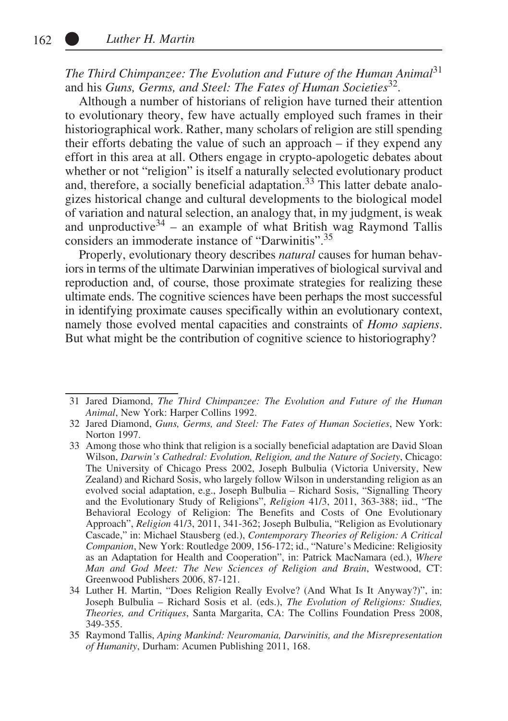*The Third Chimpanzee: The Evolution and Future of the Human Animal*<sup>31</sup> and his *Guns, Germs, and Steel: The Fates of Human Societies*32.

Although a number of historians of religion have turned their attention to evolutionary theory, few have actually employed such frames in their historiographical work. Rather, many scholars of religion are still spending their efforts debating the value of such an approach – if they expend any effort in this area at all. Others engage in crypto-apologetic debates about whether or not "religion" is itself a naturally selected evolutionary product and, therefore, a socially beneficial adaptation.<sup>33</sup> This latter debate analogizes historical change and cultural developments to the biological model of variation and natural selection, an analogy that, in my judgment, is weak and unproductive<sup>34</sup> – an example of what British wag Raymond Tallis considers an immoderate instance of "Darwinitis".35

Properly, evolutionary theory describes *natural* causes for human behaviors in terms of the ultimate Darwinian imperatives of biological survival and reproduction and, of course, those proximate strategies for realizing these ultimate ends. The cognitive sciences have been perhaps the most successful in identifying proximate causes specifically within an evolutionary context, namely those evolved mental capacities and constraints of *Homo sapiens*. But what might be the contribution of cognitive science to historiography?

<sup>31</sup> Jared Diamond, *The Third Chimpanzee: The Evolution and Future of the Human Animal*, New York: Harper Collins 1992.

<sup>32</sup> Jared Diamond, *Guns, Germs, and Steel: The Fates of Human Societies*, New York: Norton 1997.

<sup>33</sup> Among those who think that religion is a socially beneficial adaptation are David Sloan Wilson, *Darwin's Cathedral: Evolution, Religion, and the Nature of Society*, Chicago: The University of Chicago Press 2002, Joseph Bulbulia (Victoria University, New Zealand) and Richard Sosis, who largely follow Wilson in understanding religion as an evolved social adaptation, e.g., Joseph Bulbulia – Richard Sosis, "Signalling Theory and the Evolutionary Study of Religions", *Religion* 41/3, 2011, 363-388; iid., "The Behavioral Ecology of Religion: The Benefits and Costs of One Evolutionary Approach", *Religion* 41/3, 2011, 341-362; Joseph Bulbulia, "Religion as Evolutionary Cascade," in: Michael Stausberg (ed.), *Contemporary Theories of Religion: A Critical Companion*, New York: Routledge 2009, 156-172; id., "Nature's Medicine: Religiosity as an Adaptation for Health and Cooperation", in: Patrick MacNamara (ed.), *Where Man and God Meet: The New Sciences of Religion and Brain*, Westwood, CT: Greenwood Publishers 2006, 87-121.

<sup>34</sup> Luther H. Martin, "Does Religion Really Evolve? (And What Is It Anyway?)", in: Joseph Bulbulia – Richard Sosis et al. (eds.), *The Evolution of Religions: Studies, Theories, and Critiques*, Santa Margarita, CA: The Collins Foundation Press 2008, 349-355.

<sup>35</sup> Raymond Tallis, *Aping Mankind: Neuromania, Darwinitis, and the Misrepresentation of Humanity*, Durham: Acumen Publishing 2011, 168.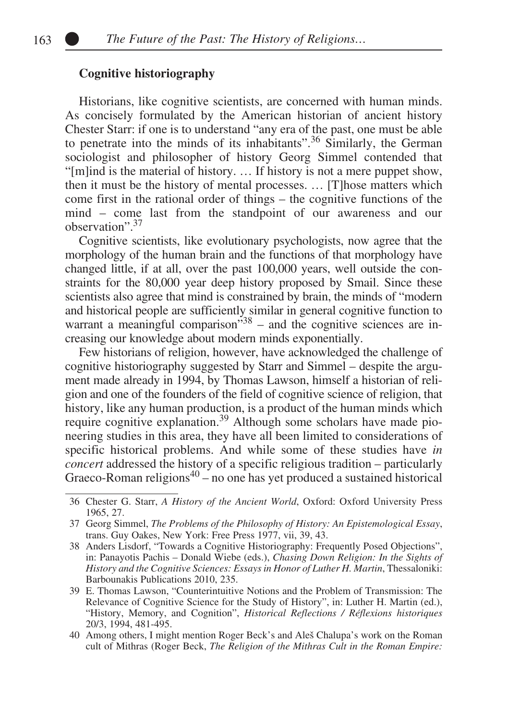## **Cognitive historiography**

Historians, like cognitive scientists, are concerned with human minds. As concisely formulated by the American historian of ancient history Chester Starr: if one is to understand "any era of the past, one must be able to penetrate into the minds of its inhabitants".36 Similarly, the German sociologist and philosopher of history Georg Simmel contended that "[m]ind is the material of history. … If history is not a mere puppet show, then it must be the history of mental processes. … [T]hose matters which come first in the rational order of things – the cognitive functions of the mind – come last from the standpoint of our awareness and our observation".<sup>37</sup>

Cognitive scientists, like evolutionary psychologists, now agree that the morphology of the human brain and the functions of that morphology have changed little, if at all, over the past 100,000 years, well outside the constraints for the 80,000 year deep history proposed by Smail. Since these scientists also agree that mind is constrained by brain, the minds of "modern and historical people are sufficiently similar in general cognitive function to warrant a meaningful comparison<sup> $38$ </sup> – and the cognitive sciences are increasing our knowledge about modern minds exponentially.

Few historians of religion, however, have acknowledged the challenge of cognitive historiography suggested by Starr and Simmel – despite the argument made already in 1994, by Thomas Lawson, himself a historian of religion and one of the founders of the field of cognitive science of religion, that history, like any human production, is a product of the human minds which require cognitive explanation.<sup>39</sup> Although some scholars have made pioneering studies in this area, they have all been limited to considerations of specific historical problems. And while some of these studies have *in concert* addressed the history of a specific religious tradition – particularly Graeco-Roman religions $40 -$ no one has yet produced a sustained historical

<sup>36</sup> Chester G. Starr, *A History of the Ancient World*, Oxford: Oxford University Press 1965, 27.

<sup>37</sup> Georg Simmel, *The Problems of the Philosophy of History: An Epistemological Essay*, trans. Guy Oakes, New York: Free Press 1977, vii, 39, 43.

<sup>38</sup> Anders Lisdorf, "Towards a Cognitive Historiography: Frequently Posed Objections", in: Panayotis Pachis – Donald Wiebe (eds.), *Chasing Down Religion: In the Sights of History and the Cognitive Sciences: Essays in Honor of Luther H. Martin*, Thessaloniki: Barbounakis Publications 2010, 235.

<sup>39</sup> E. Thomas Lawson, "Counterintuitive Notions and the Problem of Transmission: The Relevance of Cognitive Science for the Study of History", in: Luther H. Martin (ed.), "History, Memory, and Cognition", *Historical Reflections / Réflexions historiques* 20/3, 1994, 481-495.

<sup>40</sup> Among others, I might mention Roger Beck's and Aleš Chalupa's work on the Roman cult of Mithras (Roger Beck, *The Religion of the Mithras Cult in the Roman Empire:*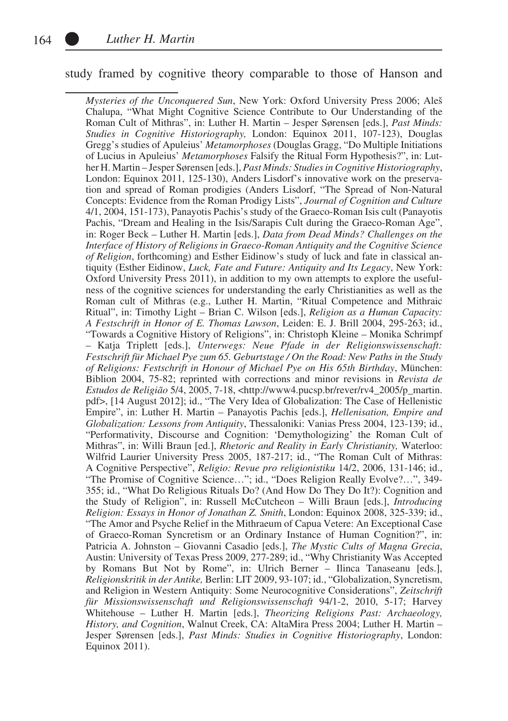study framed by cognitive theory comparable to those of Hanson and

*Mysteries of the Unconquered Sun*, New York: Oxford University Press 2006; Aleš Chalupa, "What Might Cognitive Science Contribute to Our Understanding of the Roman Cult of Mithras", in: Luther H. Martin – Jesper Sørensen [eds.], *Past Minds: Studies in Cognitive Historiography,* London: Equinox 2011, 107-123), Douglas Gregg's studies of Apuleius' *Metamorphoses* (Douglas Gragg, "Do Multiple Initiations of Lucius in Apuleius' *Metamorphoses* Falsify the Ritual Form Hypothesis?", in: Luther H. Martin – Jesper Sørensen [eds.], *Past Minds: Studies in Cognitive Historiography*, London: Equinox 2011, 125-130), Anders Lisdorf's innovative work on the preservation and spread of Roman prodigies (Anders Lisdorf, "The Spread of Non-Natural Concepts: Evidence from the Roman Prodigy Lists", *Journal of Cognition and Culture*  4/1, 2004, 151-173), Panayotis Pachis's study of the Graeco-Roman Isis cult (Panayotis Pachis, "Dream and Healing in the Isis/Sarapis Cult during the Graeco-Roman Age", in: Roger Beck – Luther H. Martin [eds.], *Data from Dead Minds? Challenges on the Interface of History of Religions in Graeco-Roman Antiquity and the Cognitive Science of Religion*, forthcoming) and Esther Eidinow's study of luck and fate in classical antiquity (Esther Eidinow, *Luck, Fate and Future: Antiquity and Its Legacy*, New York: Oxford University Press 2011), in addition to my own attempts to explore the usefulness of the cognitive sciences for understanding the early Christianities as well as the Roman cult of Mithras (e.g., Luther H. Martin, "Ritual Competence and Mithraic Ritual", in: Timothy Light – Brian C. Wilson [eds.], *Religion as a Human Capacity: A Festschrift in Honor of E. Thomas Lawson*, Leiden: E. J. Brill 2004, 295-263; id., "Towards a Cognitive History of Religions", in: Christoph Kleine – Monika Schrimpf – Katja Triplett [eds.], *Unterwegs: Neue Pfade in der Religionswissenschaft: Festschrift für Michael Pye zum 65. Geburtstage / On the Road: New Paths in the Study of Religions: Festschrift in Honour of Michael Pye on His 65th Birthday*, München: Biblion 2004, 75-82; reprinted with corrections and minor revisions in *Revista de Estudos de Religião* 5/4, 2005, 7-18, <http://www4.pucsp.br/rever/rv4\_2005/p\_martin. pdf>, [14 August 2012]; id., "The Very Idea of Globalization: The Case of Hellenistic Empire", in: Luther H. Martin – Panayotis Pachis [eds.], *Hellenisation, Empire and Globalization: Lessons from Antiquity*, Thessaloniki: Vanias Press 2004, 123-139; id., "Performativity, Discourse and Cognition: 'Demythologizing' the Roman Cult of Mithras", in: Willi Braun [ed.], *Rhetoric and Reality in Early Christianity,* Waterloo: Wilfrid Laurier University Press 2005, 187-217; id., "The Roman Cult of Mithras: A Cognitive Perspective", *Religio: Revue pro religionistiku* 14/2, 2006, 131-146; id., "The Promise of Cognitive Science…"; id., "Does Religion Really Evolve?…", 349- 355; id., "What Do Religious Rituals Do? (And How Do They Do It?): Cognition and the Study of Religion", in: Russell McCutcheon – Willi Braun [eds.], *Introducing Religion: Essays in Honor of Jonathan Z. Smith*, London: Equinox 2008, 325-339; id., "The Amor and Psyche Relief in the Mithraeum of Capua Vetere: An Exceptional Case of Graeco-Roman Syncretism or an Ordinary Instance of Human Cognition?", in: Patricia A. Johnston – Giovanni Casadio [eds.], *The Mystic Cults of Magna Grecia*, Austin: University of Texas Press 2009, 277-289; id., "Why Christianity Was Accepted by Romans But Not by Rome", in: Ulrich Berner – Ilinca Tanaseanu [eds.], *Religionskritik in der Antike,* Berlin: LIT 2009, 93-107; id., "Globalization, Syncretism, and Religion in Western Antiquity: Some Neurocognitive Considerations", *Zeitschrift für Missionswissenschaft und Religionswissenschaft* 94/1-2, 2010, 5-17; Harvey Whitehouse – Luther H. Martin [eds.], *Theorizing Religions Past: Archaeology, History, and Cognition*, Walnut Creek, CA: AltaMira Press 2004; Luther H. Martin – Jesper Sørensen [eds.], *Past Minds: Studies in Cognitive Historiography*, London: Equinox 2011).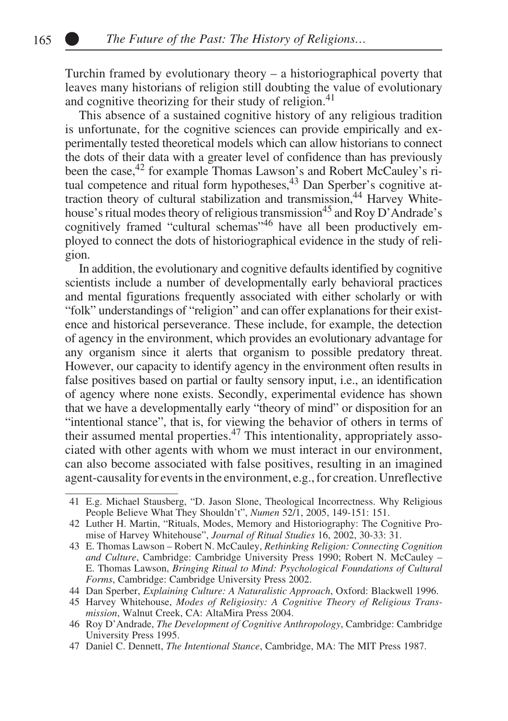Turchin framed by evolutionary theory – a historiographical poverty that leaves many historians of religion still doubting the value of evolutionary and cognitive theorizing for their study of religion. $41$ 

This absence of a sustained cognitive history of any religious tradition is unfortunate, for the cognitive sciences can provide empirically and experimentally tested theoretical models which can allow historians to connect the dots of their data with a greater level of confidence than has previously been the case,<sup>42</sup> for example Thomas Lawson's and Robert McCauley's ritual competence and ritual form hypotheses,<sup>43</sup> Dan Sperber's cognitive attraction theory of cultural stabilization and transmission,<sup>44</sup> Harvey Whitehouse's ritual modes theory of religious transmission<sup>45</sup> and Roy D'Andrade's cognitively framed "cultural schemas"<sup>46</sup> have all been productively employed to connect the dots of historiographical evidence in the study of religion.

In addition, the evolutionary and cognitive defaults identified by cognitive scientists include a number of developmentally early behavioral practices and mental figurations frequently associated with either scholarly or with "folk" understandings of "religion" and can offer explanations for their existence and historical perseverance. These include, for example, the detection of agency in the environment, which provides an evolutionary advantage for any organism since it alerts that organism to possible predatory threat. However, our capacity to identify agency in the environment often results in false positives based on partial or faulty sensory input, i.e., an identification of agency where none exists. Secondly, experimental evidence has shown that we have a developmentally early "theory of mind" or disposition for an "intentional stance", that is, for viewing the behavior of others in terms of their assumed mental properties.<sup>47</sup> This intentionality, appropriately associated with other agents with whom we must interact in our environment, can also become associated with false positives, resulting in an imagined agent-causality for events in the environment, e.g., for creation. Unreflective

<sup>41</sup> E.g. Michael Stausberg, "D. Jason Slone, Theological Incorrectness. Why Religious People Believe What They Shouldn't", *Numen* 52/1, 2005, 149-151: 151.

<sup>42</sup> Luther H. Martin, "Rituals, Modes, Memory and Historiography: The Cognitive Promise of Harvey Whitehouse", *Journal of Ritual Studies* 16, 2002, 30-33: 31.

<sup>43</sup> E. Thomas Lawson – Robert N. McCauley, *Rethinking Religion: Connecting Cognition and Culture*, Cambridge: Cambridge University Press 1990; Robert N. McCauley – E. Thomas Lawson, *Bringing Ritual to Mind: Psychological Foundations of Cultural Forms*, Cambridge: Cambridge University Press 2002.

<sup>44</sup> Dan Sperber, *Explaining Culture: A Naturalistic Approach*, Oxford: Blackwell 1996.

<sup>45</sup> Harvey Whitehouse, *Modes of Religiosity: A Cognitive Theory of Religious Transmission*, Walnut Creek, CA: AltaMira Press 2004.

<sup>46</sup> Roy D'Andrade, *The Development of Cognitive Anthropology*, Cambridge: Cambridge University Press 1995.

<sup>47</sup> Daniel C. Dennett, *The Intentional Stance*, Cambridge, MA: The MIT Press 1987.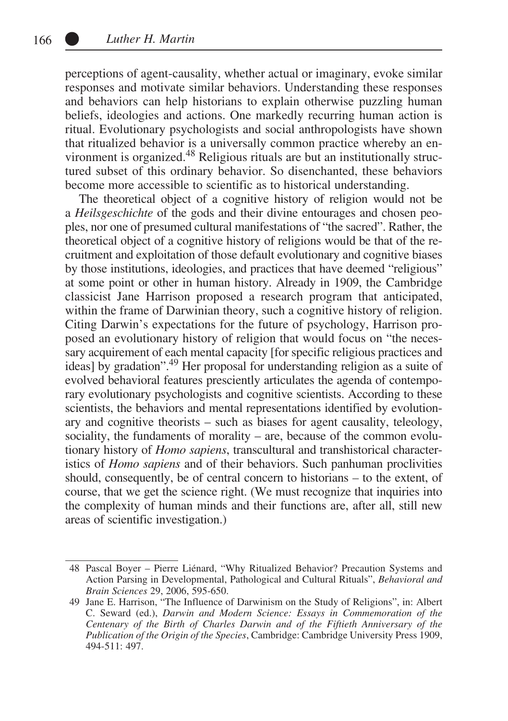perceptions of agent-causality, whether actual or imaginary, evoke similar responses and motivate similar behaviors. Understanding these responses and behaviors can help historians to explain otherwise puzzling human beliefs, ideologies and actions. One markedly recurring human action is ritual. Evolutionary psychologists and social anthropologists have shown that ritualized behavior is a universally common practice whereby an environment is organized.48 Religious rituals are but an institutionally structured subset of this ordinary behavior. So disenchanted, these behaviors become more accessible to scientific as to historical understanding.

The theoretical object of a cognitive history of religion would not be a *Heilsgeschichte* of the gods and their divine entourages and chosen peoples, nor one of presumed cultural manifestations of "the sacred". Rather, the theoretical object of a cognitive history of religions would be that of the recruitment and exploitation of those default evolutionary and cognitive biases by those institutions, ideologies, and practices that have deemed "religious" at some point or other in human history. Already in 1909, the Cambridge classicist Jane Harrison proposed a research program that anticipated, within the frame of Darwinian theory, such a cognitive history of religion. Citing Darwin's expectations for the future of psychology, Harrison proposed an evolutionary history of religion that would focus on "the necessary acquirement of each mental capacity [for specific religious practices and ideas] by gradation".49 Her proposal for understanding religion as a suite of evolved behavioral features presciently articulates the agenda of contemporary evolutionary psychologists and cognitive scientists. According to these scientists, the behaviors and mental representations identified by evolutionary and cognitive theorists – such as biases for agent causality, teleology, sociality, the fundaments of morality – are, because of the common evolutionary history of *Homo sapiens*, transcultural and transhistorical characteristics of *Homo sapiens* and of their behaviors. Such panhuman proclivities should, consequently, be of central concern to historians *–* to the extent, of course, that we get the science right. (We must recognize that inquiries into the complexity of human minds and their functions are, after all, still new areas of scientific investigation.)

<sup>48</sup> Pascal Boyer – Pierre Liénard, "Why Ritualized Behavior? Precaution Systems and Action Parsing in Developmental, Pathological and Cultural Rituals", *Behavioral and Brain Sciences* 29, 2006, 595-650.

<sup>49</sup> Jane E. Harrison, "The Influence of Darwinism on the Study of Religions", in: Albert C. Seward (ed.), *Darwin and Modern Science: Essays in Commemoration of the Centenary of the Birth of Charles Darwin and of the Fiftieth Anniversary of the Publication of the Origin of the Species*, Cambridge: Cambridge University Press 1909, 494-511: 497.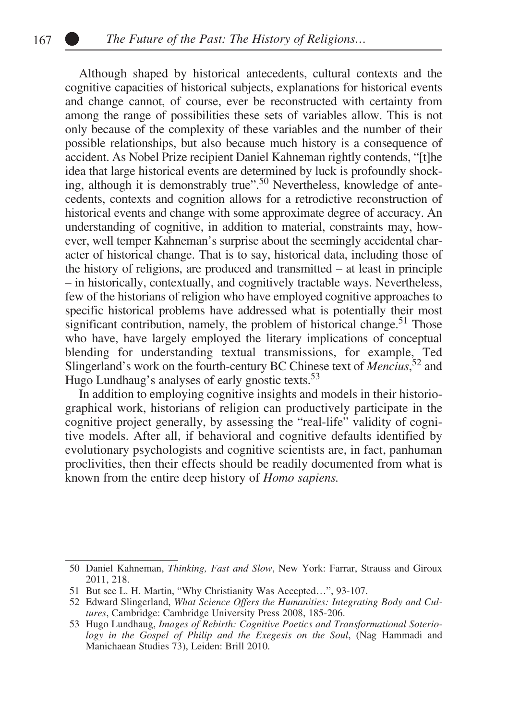Although shaped by historical antecedents, cultural contexts and the cognitive capacities of historical subjects, explanations for historical events and change cannot, of course, ever be reconstructed with certainty from among the range of possibilities these sets of variables allow. This is not only because of the complexity of these variables and the number of their possible relationships, but also because much history is a consequence of accident. As Nobel Prize recipient Daniel Kahneman rightly contends, "[t]he idea that large historical events are determined by luck is profoundly shocking, although it is demonstrably true".<sup>50</sup> Nevertheless, knowledge of antecedents, contexts and cognition allows for a retrodictive reconstruction of historical events and change with some approximate degree of accuracy. An understanding of cognitive, in addition to material, constraints may, however, well temper Kahneman's surprise about the seemingly accidental character of historical change. That is to say, historical data, including those of the history of religions, are produced and transmitted – at least in principle – in historically, contextually, and cognitively tractable ways. Nevertheless, few of the historians of religion who have employed cognitive approaches to specific historical problems have addressed what is potentially their most significant contribution, namely, the problem of historical change.<sup>51</sup> Those who have, have largely employed the literary implications of conceptual blending for understanding textual transmissions, for example, Ted Slingerland's work on the fourth-century BC Chinese text of *Mencius*, 52 and Hugo Lundhaug's analyses of early gnostic texts.<sup>53</sup>

In addition to employing cognitive insights and models in their historiographical work, historians of religion can productively participate in the cognitive project generally, by assessing the "real-life" validity of cognitive models. After all, if behavioral and cognitive defaults identified by evolutionary psychologists and cognitive scientists are, in fact, panhuman proclivities, then their effects should be readily documented from what is known from the entire deep history of *Homo sapiens.*

<sup>50</sup> Daniel Kahneman, *Thinking, Fast and Slow*, New York: Farrar, Strauss and Giroux 2011, 218.

<sup>51</sup> But see L. H. Martin, "Why Christianity Was Accepted…", 93-107.

<sup>52</sup> Edward Slingerland, *What Science Offers the Humanities: Integrating Body and Cultures*, Cambridge: Cambridge University Press 2008, 185-206.

<sup>53</sup> Hugo Lundhaug, *Images of Rebirth: Cognitive Poetics and Transformational Soteriology in the Gospel of Philip and the Exegesis on the Soul*, (Nag Hammadi and Manichaean Studies 73), Leiden: Brill 2010.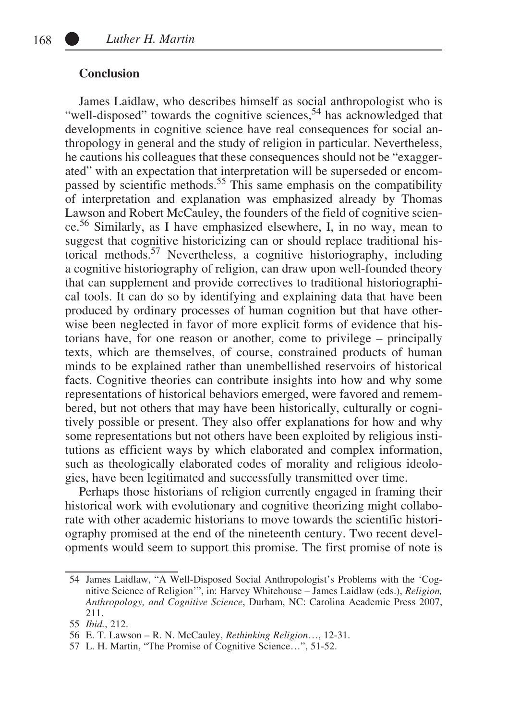## **Conclusion**

James Laidlaw, who describes himself as social anthropologist who is "well-disposed" towards the cognitive sciences,<sup>54</sup> has acknowledged that developments in cognitive science have real consequences for social anthropology in general and the study of religion in particular. Nevertheless, he cautions his colleagues that these consequences should not be "exaggerated" with an expectation that interpretation will be superseded or encompassed by scientific methods.55 This same emphasis on the compatibility of interpretation and explanation was emphasized already by Thomas Lawson and Robert McCauley, the founders of the field of cognitive science.56 Similarly, as I have emphasized elsewhere, I, in no way, mean to suggest that cognitive historicizing can or should replace traditional historical methods.57 Nevertheless, a cognitive historiography, including a cognitive historiography of religion, can draw upon well-founded theory that can supplement and provide correctives to traditional historiographical tools. It can do so by identifying and explaining data that have been produced by ordinary processes of human cognition but that have otherwise been neglected in favor of more explicit forms of evidence that historians have, for one reason or another, come to privilege – principally texts, which are themselves, of course, constrained products of human minds to be explained rather than unembellished reservoirs of historical facts. Cognitive theories can contribute insights into how and why some representations of historical behaviors emerged, were favored and remembered, but not others that may have been historically, culturally or cognitively possible or present. They also offer explanations for how and why some representations but not others have been exploited by religious institutions as efficient ways by which elaborated and complex information, such as theologically elaborated codes of morality and religious ideologies, have been legitimated and successfully transmitted over time.

Perhaps those historians of religion currently engaged in framing their historical work with evolutionary and cognitive theorizing might collaborate with other academic historians to move towards the scientific historiography promised at the end of the nineteenth century. Two recent developments would seem to support this promise. The first promise of note is

<sup>54</sup> James Laidlaw, "A Well-Disposed Social Anthropologist's Problems with the 'Cognitive Science of Religion'", in: Harvey Whitehouse – James Laidlaw (eds.), *Religion, Anthropology, and Cognitive Science*, Durham, NC: Carolina Academic Press 2007, 211.

<sup>55</sup> *Ibid.*, 212.

<sup>56</sup> E. T. Lawson – R. N. McCauley, *Rethinking Religion*…, 12-31.

<sup>57</sup> L. H. Martin, "The Promise of Cognitive Science…", 51-52.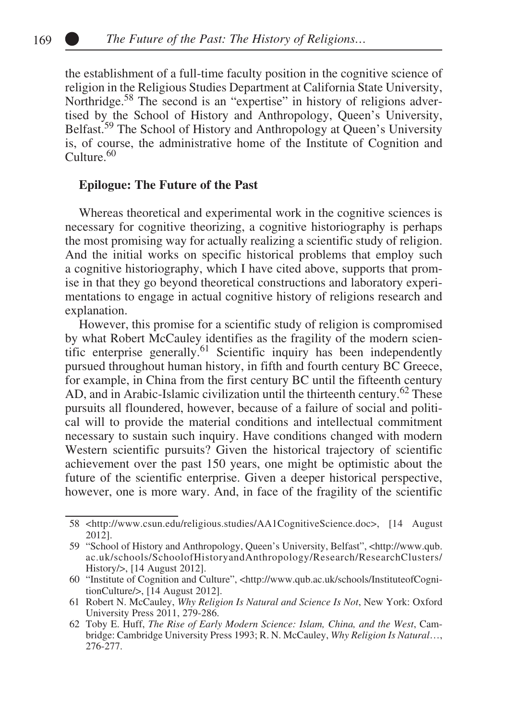the establishment of a full-time faculty position in the cognitive science of religion in the Religious Studies Department at California State University, Northridge.<sup>58</sup> The second is an "expertise" in history of religions advertised by the School of History and Anthropology, Queen's University, Belfast.59 The School of History and Anthropology at Queen's University is, of course, the administrative home of the Institute of Cognition and Culture.<sup>60</sup>

## **Epilogue: The Future of the Past**

Whereas theoretical and experimental work in the cognitive sciences is necessary for cognitive theorizing, a cognitive historiography is perhaps the most promising way for actually realizing a scientific study of religion. And the initial works on specific historical problems that employ such a cognitive historiography, which I have cited above, supports that promise in that they go beyond theoretical constructions and laboratory experimentations to engage in actual cognitive history of religions research and explanation.

However, this promise for a scientific study of religion is compromised by what Robert McCauley identifies as the fragility of the modern scientific enterprise generally.<sup>61</sup> Scientific inquiry has been independently pursued throughout human history, in fifth and fourth century BC Greece, for example, in China from the first century BC until the fifteenth century AD, and in Arabic-Islamic civilization until the thirteenth century.<sup>62</sup> These pursuits all floundered, however, because of a failure of social and political will to provide the material conditions and intellectual commitment necessary to sustain such inquiry. Have conditions changed with modern Western scientific pursuits? Given the historical trajectory of scientific achievement over the past 150 years, one might be optimistic about the future of the scientific enterprise. Given a deeper historical perspective, however, one is more wary. And, in face of the fragility of the scientific

<sup>58</sup> <http://www.csun.edu/religious.studies/AA1CognitiveScience.doc>, [14 August 2012].

<sup>59</sup> "School of History and Anthropology, Queen's University, Belfast", <http://www.qub. ac.uk/schools/SchoolofHistoryandAnthropology/Research/ResearchClusters/ History/>, [14 August 2012].

<sup>60</sup> "Institute of Cognition and Culture", <http://www.qub.ac.uk/schools/InstituteofCognitionCulture/>, [14 August 2012].

<sup>61</sup> Robert N. McCauley, *Why Religion Is Natural and Science Is Not*, New York: Oxford University Press 2011, 279-286.

<sup>62</sup> Toby E. Huff, *The Rise of Early Modern Science: Islam, China, and the West*, Cambridge: Cambridge University Press 1993; R. N. McCauley, *Why Religion Is Natural*…, 276-277.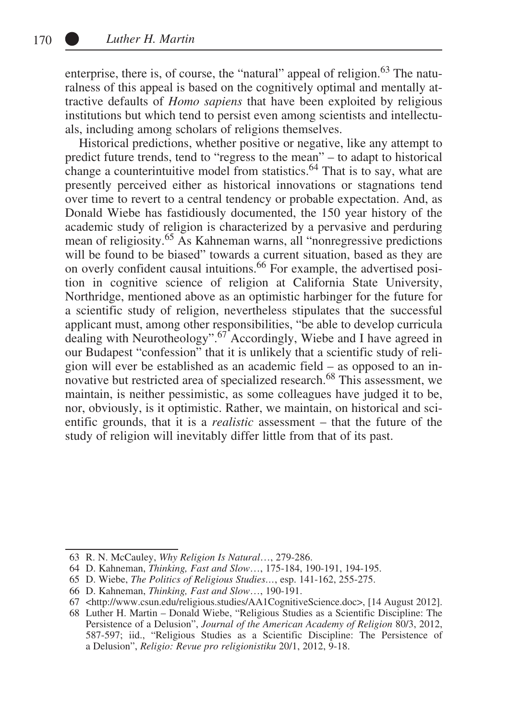enterprise, there is, of course, the "natural" appeal of religion.<sup>63</sup> The naturalness of this appeal is based on the cognitively optimal and mentally attractive defaults of *Homo sapiens* that have been exploited by religious institutions but which tend to persist even among scientists and intellectuals, including among scholars of religions themselves.

Historical predictions, whether positive or negative, like any attempt to predict future trends, tend to "regress to the mean" – to adapt to historical change a counterintuitive model from statistics.<sup>64</sup> That is to say, what are presently perceived either as historical innovations or stagnations tend over time to revert to a central tendency or probable expectation. And, as Donald Wiebe has fastidiously documented, the 150 year history of the academic study of religion is characterized by a pervasive and perduring mean of religiosity.65 As Kahneman warns, all "nonregressive predictions will be found to be biased" towards a current situation, based as they are on overly confident causal intuitions.66 For example, the advertised position in cognitive science of religion at California State University, Northridge, mentioned above as an optimistic harbinger for the future for a scientific study of religion, nevertheless stipulates that the successful applicant must, among other responsibilities, "be able to develop curricula dealing with Neurotheology".67 Accordingly, Wiebe and I have agreed in our Budapest "confession" that it is unlikely that a scientific study of religion will ever be established as an academic field – as opposed to an innovative but restricted area of specialized research.<sup>68</sup> This assessment, we maintain, is neither pessimistic, as some colleagues have judged it to be, nor, obviously, is it optimistic. Rather, we maintain, on historical and scientific grounds, that it is a *realistic* assessment – that the future of the study of religion will inevitably differ little from that of its past.

<sup>63</sup> R. N. McCauley, *Why Religion Is Natural*…, 279-286.

<sup>64</sup> D. Kahneman, *Thinking, Fast and Slow*…, 175-184, 190-191, 194-195.

<sup>65</sup> D. Wiebe, *The Politics of Religious Studies…*, esp. 141-162, 255-275.

<sup>66</sup> D. Kahneman, *Thinking, Fast and Slow*…, 190-191.

<sup>67</sup> <http://www.csun.edu/religious.studies/AA1CognitiveScience.doc>, [14 August 2012].

<sup>68</sup> Luther H. Martin – Donald Wiebe, "Religious Studies as a Scientific Discipline: The Persistence of a Delusion", *Journal of the American Academy of Religion* 80/3, 2012, 587-597; iid., "Religious Studies as a Scientific Discipline: The Persistence of a Delusion", *Religio: Revue pro religionistiku* 20/1, 2012, 9-18.